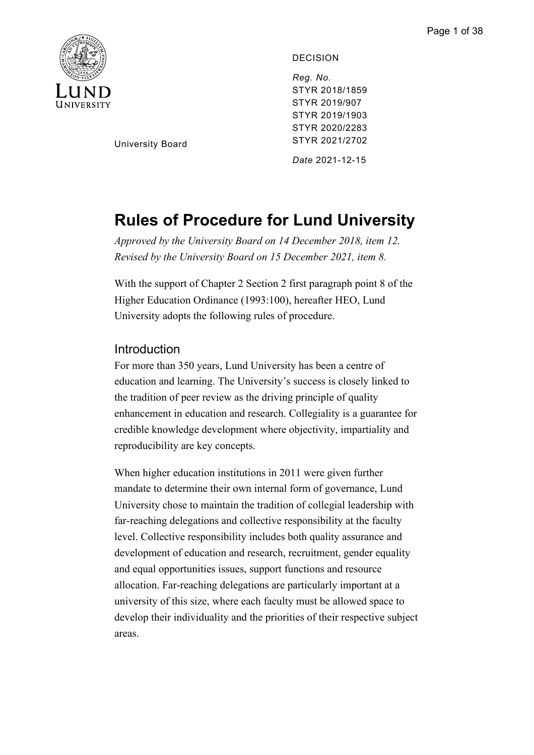

DECISION

*Reg. No.*  STYR 2018/1859 STYR 2019/907 STYR 2019/1903 STYR 2020/2283 STYR 2021/2702

University Board

*Date* 2021-12-15

# **Rules of Procedure for Lund University**

*Approved by the University Board on 14 December 2018, item 12. Revised by the University Board on 15 December 2021, item 8.*

With the support of Chapter 2 Section 2 first paragraph point 8 of the Higher Education Ordinance (1993:100), hereafter HEO, Lund University adopts the following rules of procedure.

## Introduction

For more than 350 years, Lund University has been a centre of education and learning. The University's success is closely linked to the tradition of peer review as the driving principle of quality enhancement in education and research. Collegiality is a guarantee for credible knowledge development where objectivity, impartiality and reproducibility are key concepts.

When higher education institutions in 2011 were given further mandate to determine their own internal form of governance, Lund University chose to maintain the tradition of collegial leadership with far-reaching delegations and collective responsibility at the faculty level. Collective responsibility includes both quality assurance and development of education and research, recruitment, gender equality and equal opportunities issues, support functions and resource allocation. Far-reaching delegations are particularly important at a university of this size, where each faculty must be allowed space to develop their individuality and the priorities of their respective subject areas.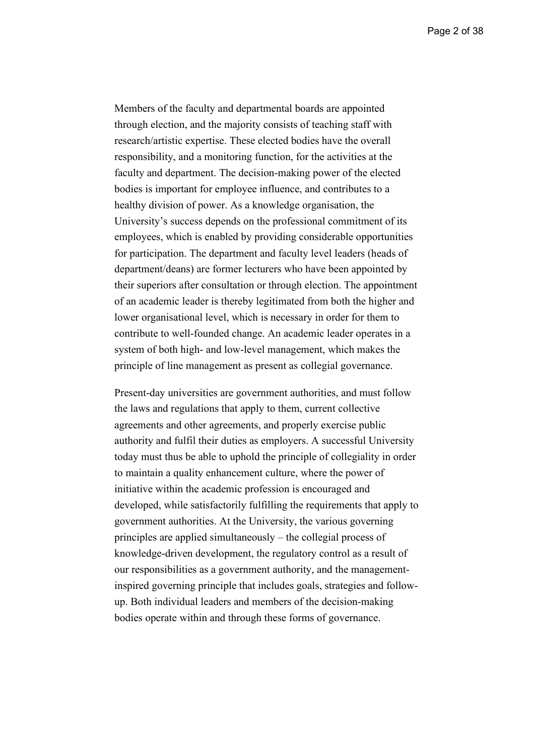Page 2 of 38

Members of the faculty and departmental boards are appointed through election, and the majority consists of teaching staff with research/artistic expertise. These elected bodies have the overall responsibility, and a monitoring function, for the activities at the faculty and department. The decision-making power of the elected bodies is important for employee influence, and contributes to a healthy division of power. As a knowledge organisation, the University's success depends on the professional commitment of its employees, which is enabled by providing considerable opportunities for participation. The department and faculty level leaders (heads of department/deans) are former lecturers who have been appointed by their superiors after consultation or through election. The appointment of an academic leader is thereby legitimated from both the higher and lower organisational level, which is necessary in order for them to contribute to well-founded change. An academic leader operates in a system of both high- and low-level management, which makes the principle of line management as present as collegial governance.

Present-day universities are government authorities, and must follow the laws and regulations that apply to them, current collective agreements and other agreements, and properly exercise public authority and fulfil their duties as employers. A successful University today must thus be able to uphold the principle of collegiality in order to maintain a quality enhancement culture, where the power of initiative within the academic profession is encouraged and developed, while satisfactorily fulfilling the requirements that apply to government authorities. At the University, the various governing principles are applied simultaneously – the collegial process of knowledge-driven development, the regulatory control as a result of our responsibilities as a government authority, and the managementinspired governing principle that includes goals, strategies and followup. Both individual leaders and members of the decision-making bodies operate within and through these forms of governance.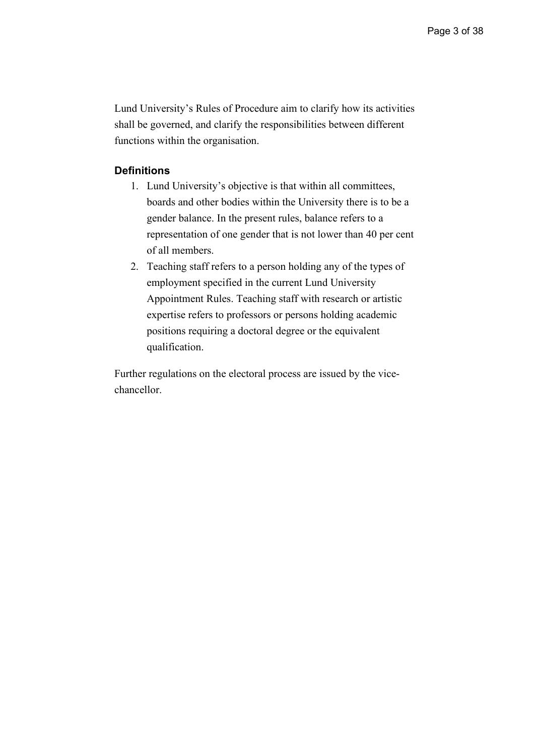Lund University's Rules of Procedure aim to clarify how its activities shall be governed, and clarify the responsibilities between different functions within the organisation.

## **Definitions**

- 1. Lund University's objective is that within all committees, boards and other bodies within the University there is to be a gender balance. In the present rules, balance refers to a representation of one gender that is not lower than 40 per cent of all members.
- 2. Teaching staff refers to a person holding any of the types of employment specified in the current Lund University Appointment Rules. Teaching staff with research or artistic expertise refers to professors or persons holding academic positions requiring a doctoral degree or the equivalent qualification.

Further regulations on the electoral process are issued by the vicechancellor.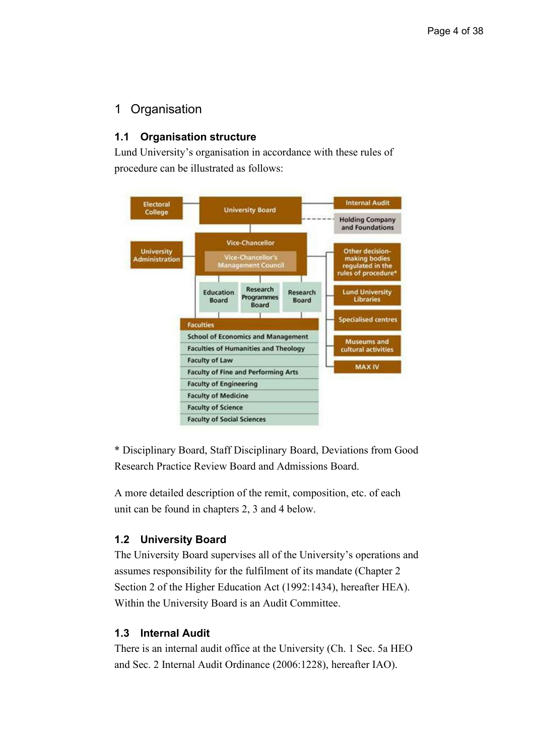## 1 Organisation

## **1.1 Organisation structure**

Lund University's organisation in accordance with these rules of procedure can be illustrated as follows:



\* Disciplinary Board, Staff Disciplinary Board, Deviations from Good Research Practice Review Board and Admissions Board.

A more detailed description of the remit, composition, etc. of each unit can be found in chapters 2, 3 and 4 below.

## **1.2 University Board**

The University Board supervises all of the University's operations and assumes responsibility for the fulfilment of its mandate (Chapter 2 Section 2 of the Higher Education Act (1992:1434), hereafter HEA). Within the University Board is an Audit Committee.

### **1.3 Internal Audit**

There is an internal audit office at the University (Ch. 1 Sec. 5a HEO and Sec. 2 Internal Audit Ordinance (2006:1228), hereafter IAO).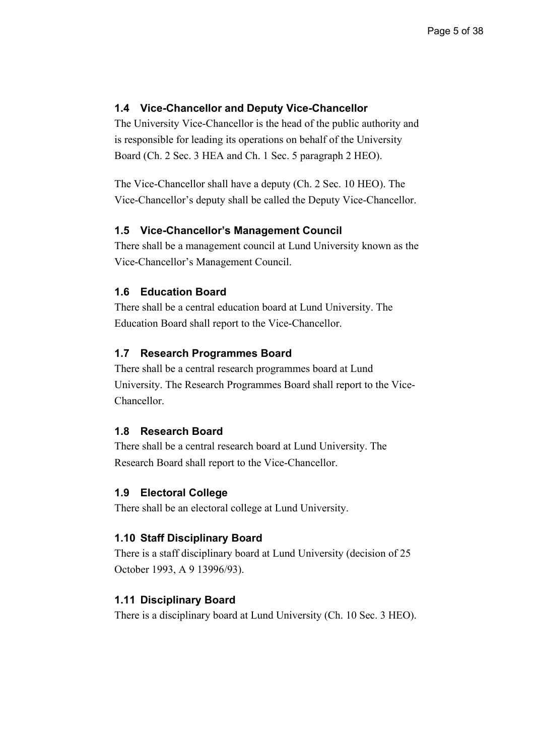## **1.4 Vice-Chancellor and Deputy Vice-Chancellor**

The University Vice-Chancellor is the head of the public authority and is responsible for leading its operations on behalf of the University Board (Ch. 2 Sec. 3 HEA and Ch. 1 Sec. 5 paragraph 2 HEO).

The Vice-Chancellor shall have a deputy (Ch. 2 Sec. 10 HEO). The Vice-Chancellor's deputy shall be called the Deputy Vice-Chancellor.

## **1.5 Vice-Chancellor's Management Council**

There shall be a management council at Lund University known as the Vice-Chancellor's Management Council.

## **1.6 Education Board**

There shall be a central education board at Lund University. The Education Board shall report to the Vice-Chancellor.

#### **1.7 Research Programmes Board**

There shall be a central research programmes board at Lund University. The Research Programmes Board shall report to the Vice-Chancellor.

#### **1.8 Research Board**

There shall be a central research board at Lund University. The Research Board shall report to the Vice-Chancellor.

#### **1.9 Electoral College**

There shall be an electoral college at Lund University.

#### **1.10 Staff Disciplinary Board**

There is a staff disciplinary board at Lund University (decision of 25 October 1993, A 9 13996/93).

#### **1.11 Disciplinary Board**

There is a disciplinary board at Lund University (Ch. 10 Sec. 3 HEO).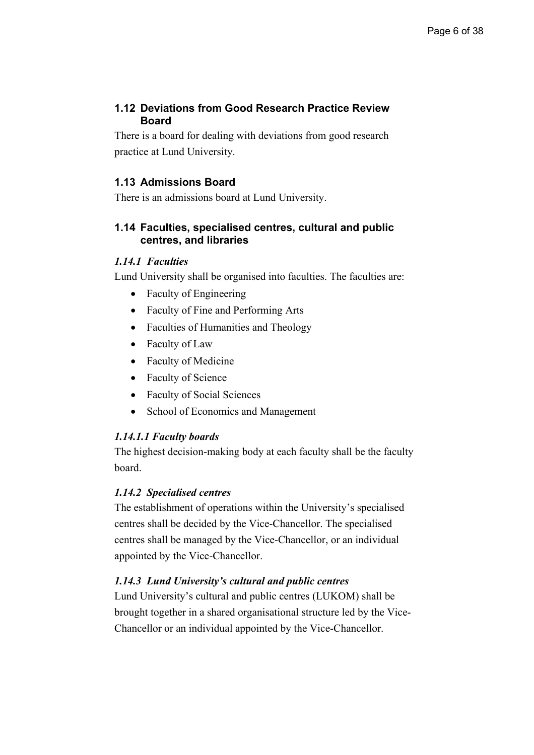## **1.12 Deviations from Good Research Practice Review Board**

There is a board for dealing with deviations from good research practice at Lund University.

## **1.13 Admissions Board**

There is an admissions board at Lund University.

## **1.14 Faculties, specialised centres, cultural and public centres, and libraries**

## *1.14.1 Faculties*

Lund University shall be organised into faculties. The faculties are:

- Faculty of Engineering
- Faculty of Fine and Performing Arts
- Faculties of Humanities and Theology
- Faculty of Law
- Faculty of Medicine
- Faculty of Science
- Faculty of Social Sciences
- School of Economics and Management

## *1.14.1.1 Faculty boards*

The highest decision-making body at each faculty shall be the faculty board.

## *1.14.2 Specialised centres*

The establishment of operations within the University's specialised centres shall be decided by the Vice-Chancellor. The specialised centres shall be managed by the Vice-Chancellor, or an individual appointed by the Vice-Chancellor.

## *1.14.3 Lund University's cultural and public centres*

Lund University's cultural and public centres (LUKOM) shall be brought together in a shared organisational structure led by the Vice-Chancellor or an individual appointed by the Vice-Chancellor.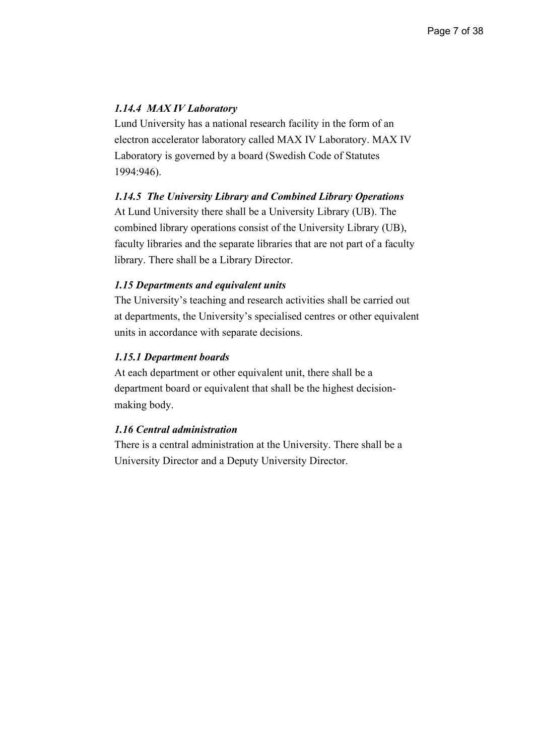## *1.14.4 MAX IV Laboratory*

Lund University has a national research facility in the form of an electron accelerator laboratory called MAX IV Laboratory. MAX IV Laboratory is governed by a board (Swedish Code of Statutes 1994:946).

#### *1.14.5 The University Library and Combined Library Operations*

At Lund University there shall be a University Library (UB). The combined library operations consist of the University Library (UB), faculty libraries and the separate libraries that are not part of a faculty library. There shall be a Library Director.

#### *1.15 Departments and equivalent units*

The University's teaching and research activities shall be carried out at departments, the University's specialised centres or other equivalent units in accordance with separate decisions.

#### *1.15.1 Department boards*

At each department or other equivalent unit, there shall be a department board or equivalent that shall be the highest decisionmaking body.

#### *1.16 Central administration*

There is a central administration at the University. There shall be a University Director and a Deputy University Director.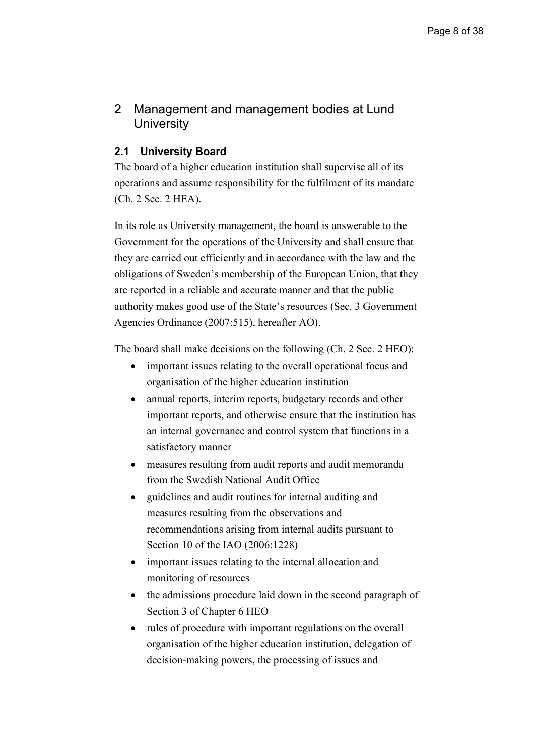## 2 Management and management bodies at Lund **University**

## **2.1 University Board**

The board of a higher education institution shall supervise all of its operations and assume responsibility for the fulfilment of its mandate (Ch. 2 Sec. 2 HEA).

In its role as University management, the board is answerable to the Government for the operations of the University and shall ensure that they are carried out efficiently and in accordance with the law and the obligations of Sweden's membership of the European Union, that they are reported in a reliable and accurate manner and that the public authority makes good use of the State's resources (Sec. 3 Government Agencies Ordinance (2007:515), hereafter AO).

The board shall make decisions on the following (Ch. 2 Sec. 2 HEO):

- important issues relating to the overall operational focus and organisation of the higher education institution
- annual reports, interim reports, budgetary records and other important reports, and otherwise ensure that the institution has an internal governance and control system that functions in a satisfactory manner
- measures resulting from audit reports and audit memoranda from the Swedish National Audit Office
- guidelines and audit routines for internal auditing and measures resulting from the observations and recommendations arising from internal audits pursuant to Section 10 of the IAO (2006:1228)
- important issues relating to the internal allocation and monitoring of resources
- the admissions procedure laid down in the second paragraph of Section 3 of Chapter 6 HEO
- rules of procedure with important regulations on the overall organisation of the higher education institution, delegation of decision-making powers, the processing of issues and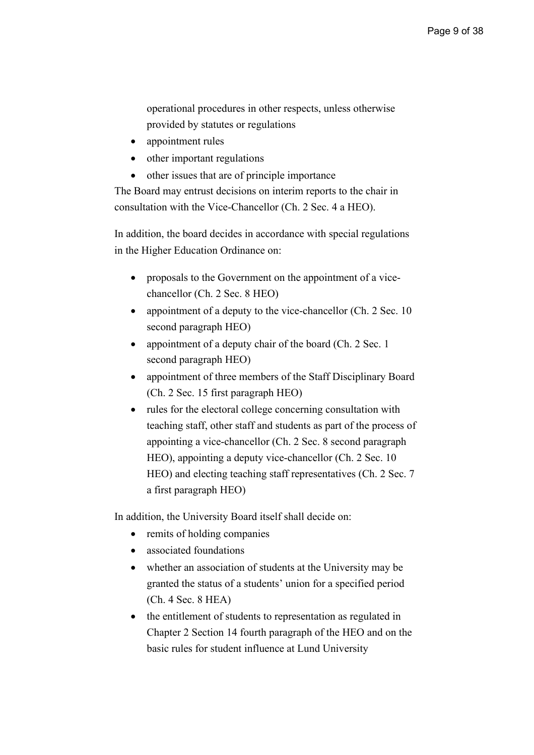operational procedures in other respects, unless otherwise provided by statutes or regulations

- appointment rules
- other important regulations
- other issues that are of principle importance

The Board may entrust decisions on interim reports to the chair in consultation with the Vice-Chancellor (Ch. 2 Sec. 4 a HEO).

In addition, the board decides in accordance with special regulations in the Higher Education Ordinance on:

- proposals to the Government on the appointment of a vicechancellor (Ch. 2 Sec. 8 HEO)
- appointment of a deputy to the vice-chancellor (Ch. 2 Sec. 10) second paragraph HEO)
- appointment of a deputy chair of the board (Ch. 2 Sec. 1) second paragraph HEO)
- appointment of three members of the Staff Disciplinary Board (Ch. 2 Sec. 15 first paragraph HEO)
- rules for the electoral college concerning consultation with teaching staff, other staff and students as part of the process of appointing a vice-chancellor (Ch. 2 Sec. 8 second paragraph HEO), appointing a deputy vice-chancellor (Ch. 2 Sec. 10 HEO) and electing teaching staff representatives (Ch. 2 Sec. 7 a first paragraph HEO)

In addition, the University Board itself shall decide on:

- remits of holding companies
- associated foundations
- whether an association of students at the University may be granted the status of a students' union for a specified period (Ch. 4 Sec. 8 HEA)
- the entitlement of students to representation as regulated in Chapter 2 Section 14 fourth paragraph of the HEO and on the basic rules for student influence at Lund University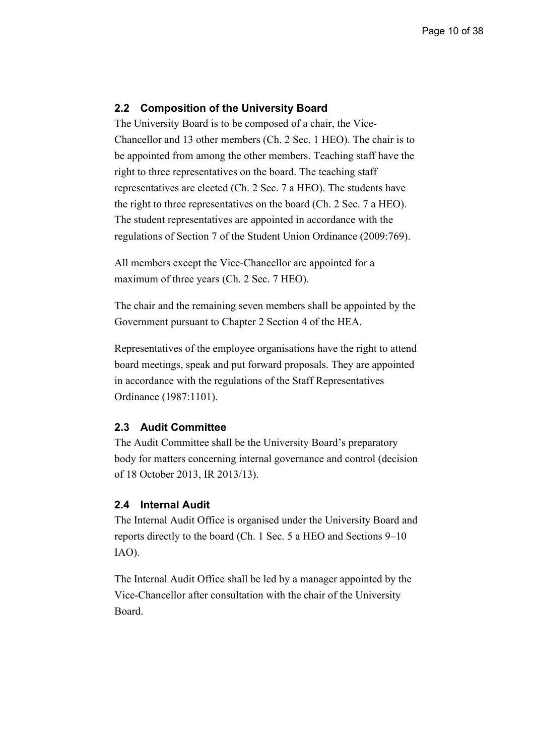#### **2.2 Composition of the University Board**

The University Board is to be composed of a chair, the Vice-Chancellor and 13 other members (Ch. 2 Sec. 1 HEO). The chair is to be appointed from among the other members. Teaching staff have the right to three representatives on the board. The teaching staff representatives are elected (Ch. 2 Sec. 7 a HEO). The students have the right to three representatives on the board (Ch. 2 Sec. 7 a HEO). The student representatives are appointed in accordance with the regulations of Section 7 of the Student Union Ordinance (2009:769).

All members except the Vice-Chancellor are appointed for a maximum of three years (Ch. 2 Sec. 7 HEO).

The chair and the remaining seven members shall be appointed by the Government pursuant to Chapter 2 Section 4 of the HEA.

Representatives of the employee organisations have the right to attend board meetings, speak and put forward proposals. They are appointed in accordance with the regulations of the Staff Representatives Ordinance (1987:1101).

## **2.3 Audit Committee**

The Audit Committee shall be the University Board's preparatory body for matters concerning internal governance and control (decision of 18 October 2013, IR 2013/13).

#### **2.4 Internal Audit**

The Internal Audit Office is organised under the University Board and reports directly to the board (Ch. 1 Sec. 5 a HEO and Sections 9–10 IAO).

The Internal Audit Office shall be led by a manager appointed by the Vice-Chancellor after consultation with the chair of the University Board.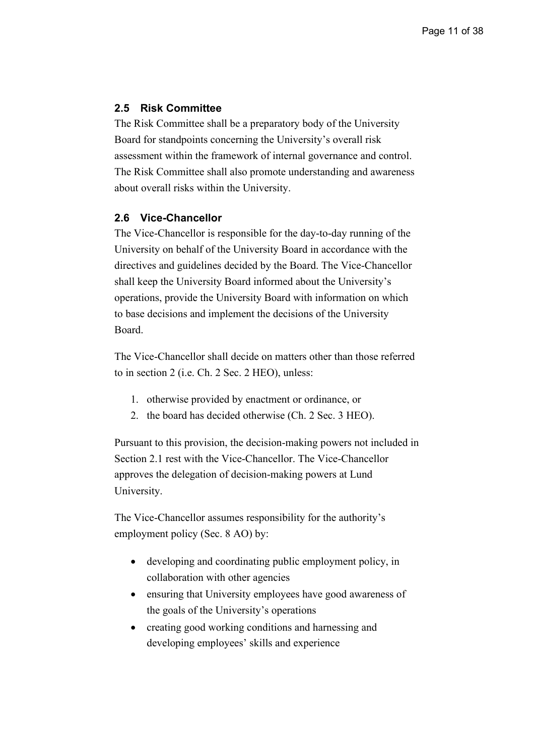## **2.5 Risk Committee**

The Risk Committee shall be a preparatory body of the University Board for standpoints concerning the University's overall risk assessment within the framework of internal governance and control. The Risk Committee shall also promote understanding and awareness about overall risks within the University.

#### **2.6 Vice-Chancellor**

The Vice-Chancellor is responsible for the day-to-day running of the University on behalf of the University Board in accordance with the directives and guidelines decided by the Board. The Vice-Chancellor shall keep the University Board informed about the University's operations, provide the University Board with information on which to base decisions and implement the decisions of the University Board.

The Vice-Chancellor shall decide on matters other than those referred to in section 2 (i.e. Ch. 2 Sec. 2 HEO), unless:

- 1. otherwise provided by enactment or ordinance, or
- 2. the board has decided otherwise (Ch. 2 Sec. 3 HEO).

Pursuant to this provision, the decision-making powers not included in Section 2.1 rest with the Vice-Chancellor. The Vice-Chancellor approves the delegation of decision-making powers at Lund University.

The Vice-Chancellor assumes responsibility for the authority's employment policy (Sec. 8 AO) by:

- developing and coordinating public employment policy, in collaboration with other agencies
- ensuring that University employees have good awareness of the goals of the University's operations
- creating good working conditions and harnessing and developing employees' skills and experience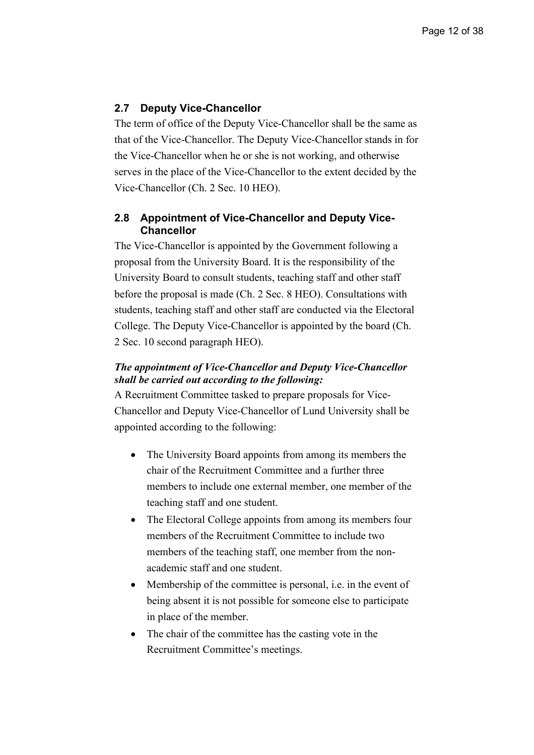## **2.7 Deputy Vice-Chancellor**

The term of office of the Deputy Vice-Chancellor shall be the same as that of the Vice-Chancellor. The Deputy Vice-Chancellor stands in for the Vice-Chancellor when he or she is not working, and otherwise serves in the place of the Vice-Chancellor to the extent decided by the Vice-Chancellor (Ch. 2 Sec. 10 HEO).

## **2.8 Appointment of Vice-Chancellor and Deputy Vice-Chancellor**

The Vice-Chancellor is appointed by the Government following a proposal from the University Board. It is the responsibility of the University Board to consult students, teaching staff and other staff before the proposal is made (Ch. 2 Sec. 8 HEO). Consultations with students, teaching staff and other staff are conducted via the Electoral College. The Deputy Vice-Chancellor is appointed by the board (Ch. 2 Sec. 10 second paragraph HEO).

## *The appointment of Vice-Chancellor and Deputy Vice-Chancellor shall be carried out according to the following:*

A Recruitment Committee tasked to prepare proposals for Vice-Chancellor and Deputy Vice-Chancellor of Lund University shall be appointed according to the following:

- The University Board appoints from among its members the chair of the Recruitment Committee and a further three members to include one external member, one member of the teaching staff and one student.
- The Electoral College appoints from among its members four members of the Recruitment Committee to include two members of the teaching staff, one member from the nonacademic staff and one student.
- Membership of the committee is personal, i.e. in the event of being absent it is not possible for someone else to participate in place of the member.
- The chair of the committee has the casting vote in the Recruitment Committee's meetings.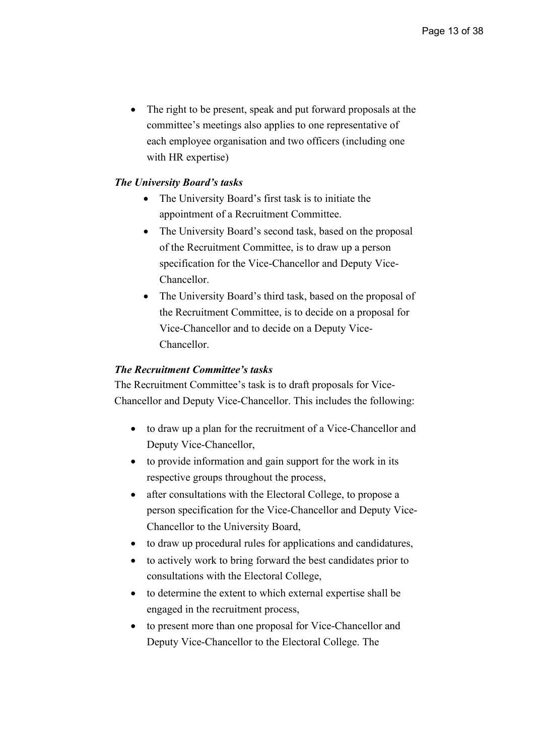The right to be present, speak and put forward proposals at the committee's meetings also applies to one representative of each employee organisation and two officers (including one with HR expertise)

#### *The University Board's tasks*

- The University Board's first task is to initiate the appointment of a Recruitment Committee.
- The University Board's second task, based on the proposal of the Recruitment Committee, is to draw up a person specification for the Vice-Chancellor and Deputy Vice-Chancellor.
- The University Board's third task, based on the proposal of the Recruitment Committee, is to decide on a proposal for Vice-Chancellor and to decide on a Deputy Vice-Chancellor.

#### *The Recruitment Committee's tasks*

The Recruitment Committee's task is to draft proposals for Vice-Chancellor and Deputy Vice-Chancellor. This includes the following:

- to draw up a plan for the recruitment of a Vice-Chancellor and Deputy Vice-Chancellor,
- to provide information and gain support for the work in its respective groups throughout the process,
- after consultations with the Electoral College, to propose a person specification for the Vice-Chancellor and Deputy Vice-Chancellor to the University Board,
- to draw up procedural rules for applications and candidatures,
- to actively work to bring forward the best candidates prior to consultations with the Electoral College,
- to determine the extent to which external expertise shall be engaged in the recruitment process,
- to present more than one proposal for Vice-Chancellor and Deputy Vice-Chancellor to the Electoral College. The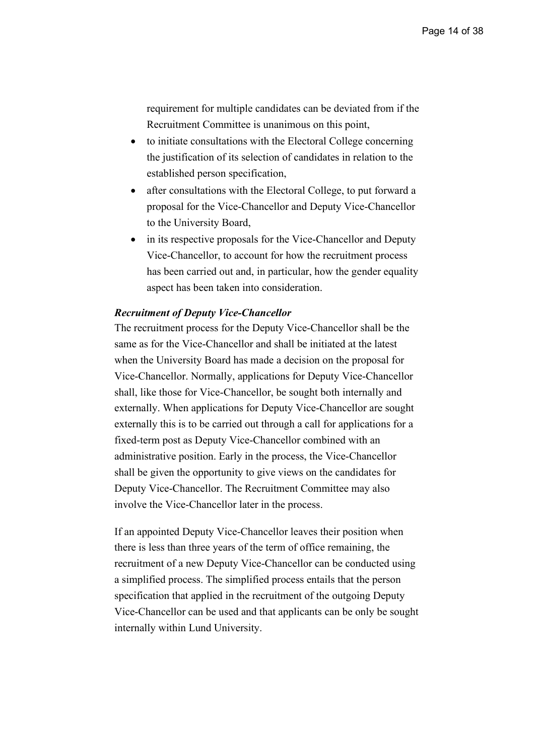requirement for multiple candidates can be deviated from if the Recruitment Committee is unanimous on this point,

- to initiate consultations with the Electoral College concerning the justification of its selection of candidates in relation to the established person specification,
- after consultations with the Electoral College, to put forward a proposal for the Vice-Chancellor and Deputy Vice-Chancellor to the University Board,
- in its respective proposals for the Vice-Chancellor and Deputy Vice-Chancellor, to account for how the recruitment process has been carried out and, in particular, how the gender equality aspect has been taken into consideration.

#### *Recruitment of Deputy Vice-Chancellor*

The recruitment process for the Deputy Vice-Chancellor shall be the same as for the Vice-Chancellor and shall be initiated at the latest when the University Board has made a decision on the proposal for Vice-Chancellor. Normally, applications for Deputy Vice-Chancellor shall, like those for Vice-Chancellor, be sought both internally and externally. When applications for Deputy Vice-Chancellor are sought externally this is to be carried out through a call for applications for a fixed-term post as Deputy Vice-Chancellor combined with an administrative position. Early in the process, the Vice-Chancellor shall be given the opportunity to give views on the candidates for Deputy Vice-Chancellor. The Recruitment Committee may also involve the Vice-Chancellor later in the process.

If an appointed Deputy Vice-Chancellor leaves their position when there is less than three years of the term of office remaining, the recruitment of a new Deputy Vice-Chancellor can be conducted using a simplified process. The simplified process entails that the person specification that applied in the recruitment of the outgoing Deputy Vice-Chancellor can be used and that applicants can be only be sought internally within Lund University.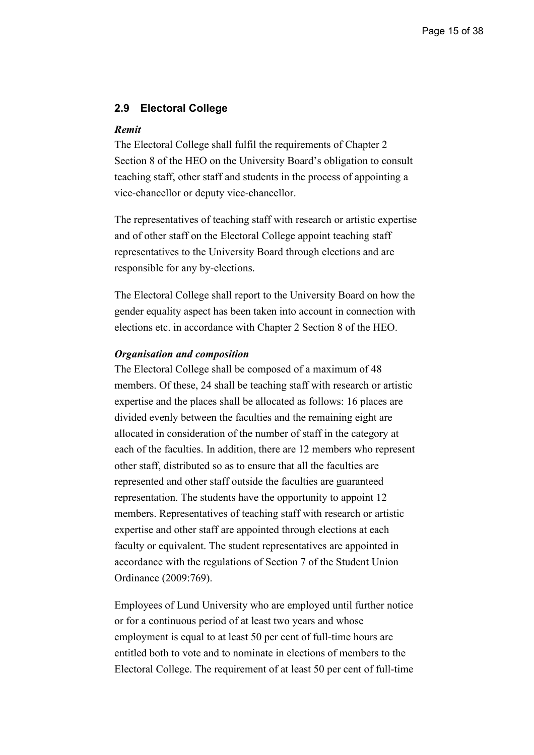#### **2.9 Electoral College**

#### *Remit*

The Electoral College shall fulfil the requirements of Chapter 2 Section 8 of the HEO on the University Board's obligation to consult teaching staff, other staff and students in the process of appointing a vice-chancellor or deputy vice-chancellor.

The representatives of teaching staff with research or artistic expertise and of other staff on the Electoral College appoint teaching staff representatives to the University Board through elections and are responsible for any by-elections.

The Electoral College shall report to the University Board on how the gender equality aspect has been taken into account in connection with elections etc. in accordance with Chapter 2 Section 8 of the HEO.

#### *Organisation and composition*

The Electoral College shall be composed of a maximum of 48 members. Of these, 24 shall be teaching staff with research or artistic expertise and the places shall be allocated as follows: 16 places are divided evenly between the faculties and the remaining eight are allocated in consideration of the number of staff in the category at each of the faculties. In addition, there are 12 members who represent other staff, distributed so as to ensure that all the faculties are represented and other staff outside the faculties are guaranteed representation. The students have the opportunity to appoint 12 members. Representatives of teaching staff with research or artistic expertise and other staff are appointed through elections at each faculty or equivalent. The student representatives are appointed in accordance with the regulations of Section 7 of the Student Union Ordinance (2009:769).

Employees of Lund University who are employed until further notice or for a continuous period of at least two years and whose employment is equal to at least 50 per cent of full-time hours are entitled both to vote and to nominate in elections of members to the Electoral College. The requirement of at least 50 per cent of full-time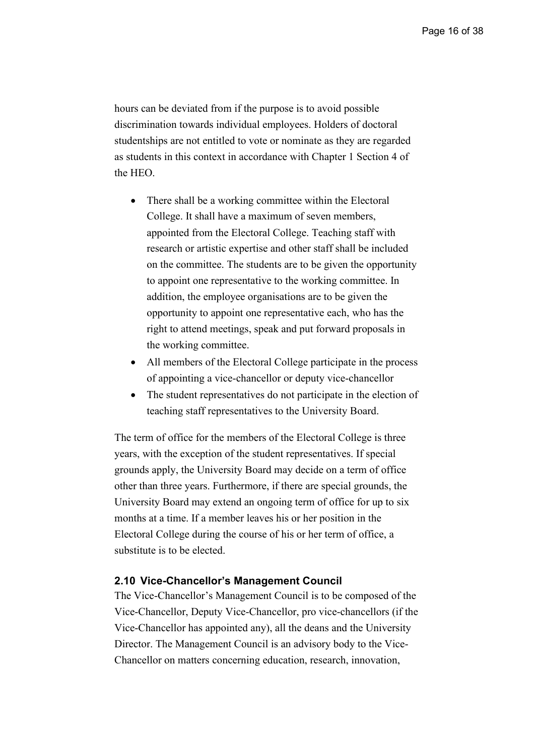hours can be deviated from if the purpose is to avoid possible discrimination towards individual employees. Holders of doctoral studentships are not entitled to vote or nominate as they are regarded as students in this context in accordance with Chapter 1 Section 4 of the HEO.

- There shall be a working committee within the Electoral College. It shall have a maximum of seven members, appointed from the Electoral College. Teaching staff with research or artistic expertise and other staff shall be included on the committee. The students are to be given the opportunity to appoint one representative to the working committee. In addition, the employee organisations are to be given the opportunity to appoint one representative each, who has the right to attend meetings, speak and put forward proposals in the working committee.
- All members of the Electoral College participate in the process of appointing a vice-chancellor or deputy vice-chancellor
- The student representatives do not participate in the election of teaching staff representatives to the University Board.

The term of office for the members of the Electoral College is three years, with the exception of the student representatives. If special grounds apply, the University Board may decide on a term of office other than three years. Furthermore, if there are special grounds, the University Board may extend an ongoing term of office for up to six months at a time. If a member leaves his or her position in the Electoral College during the course of his or her term of office, a substitute is to be elected.

#### **2.10 Vice-Chancellor's Management Council**

The Vice-Chancellor's Management Council is to be composed of the Vice-Chancellor, Deputy Vice-Chancellor, pro vice-chancellors (if the Vice-Chancellor has appointed any), all the deans and the University Director. The Management Council is an advisory body to the Vice-Chancellor on matters concerning education, research, innovation,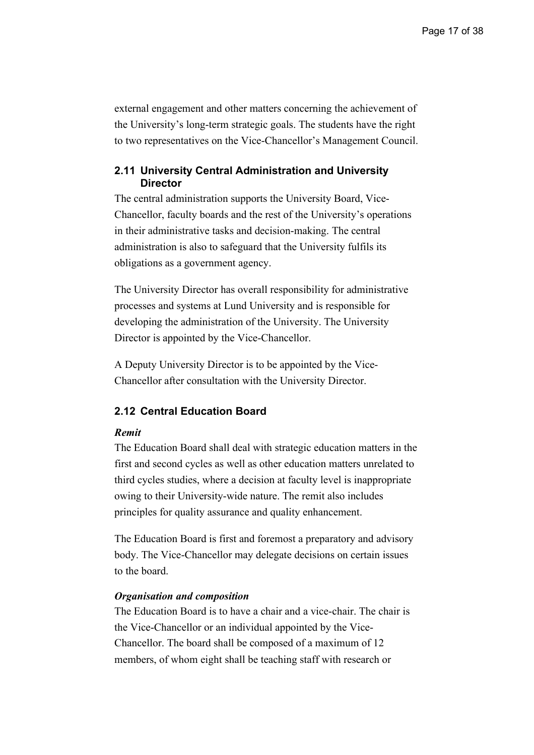external engagement and other matters concerning the achievement of the University's long-term strategic goals. The students have the right to two representatives on the Vice-Chancellor's Management Council.

#### **2.11 University Central Administration and University Director**

The central administration supports the University Board, Vice-Chancellor, faculty boards and the rest of the University's operations in their administrative tasks and decision-making. The central administration is also to safeguard that the University fulfils its obligations as a government agency.

The University Director has overall responsibility for administrative processes and systems at Lund University and is responsible for developing the administration of the University. The University Director is appointed by the Vice-Chancellor.

A Deputy University Director is to be appointed by the Vice-Chancellor after consultation with the University Director.

#### **2.12 Central Education Board**

#### *Remit*

The Education Board shall deal with strategic education matters in the first and second cycles as well as other education matters unrelated to third cycles studies, where a decision at faculty level is inappropriate owing to their University-wide nature. The remit also includes principles for quality assurance and quality enhancement.

The Education Board is first and foremost a preparatory and advisory body. The Vice-Chancellor may delegate decisions on certain issues to the board.

#### *Organisation and composition*

The Education Board is to have a chair and a vice-chair. The chair is the Vice-Chancellor or an individual appointed by the Vice-Chancellor. The board shall be composed of a maximum of 12 members, of whom eight shall be teaching staff with research or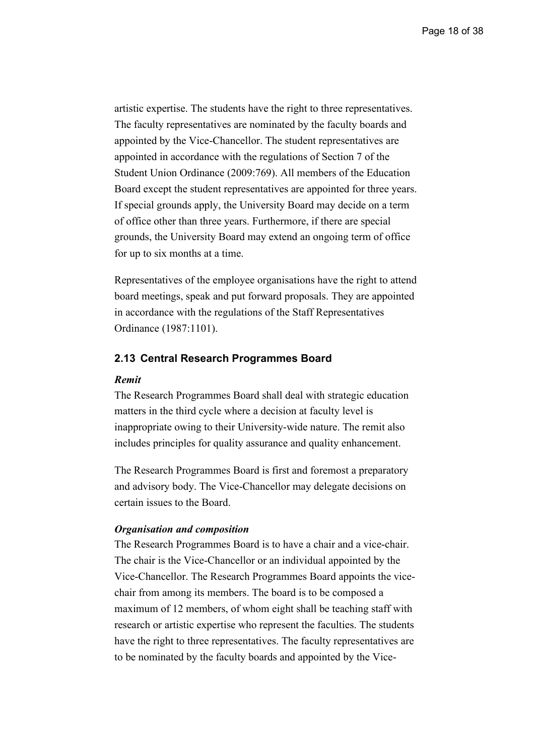artistic expertise. The students have the right to three representatives. The faculty representatives are nominated by the faculty boards and appointed by the Vice-Chancellor. The student representatives are appointed in accordance with the regulations of Section 7 of the Student Union Ordinance (2009:769). All members of the Education Board except the student representatives are appointed for three years. If special grounds apply, the University Board may decide on a term of office other than three years. Furthermore, if there are special grounds, the University Board may extend an ongoing term of office for up to six months at a time.

Representatives of the employee organisations have the right to attend board meetings, speak and put forward proposals. They are appointed in accordance with the regulations of the Staff Representatives Ordinance (1987:1101).

#### **2.13 Central Research Programmes Board**

#### *Remit*

The Research Programmes Board shall deal with strategic education matters in the third cycle where a decision at faculty level is inappropriate owing to their University-wide nature. The remit also includes principles for quality assurance and quality enhancement.

The Research Programmes Board is first and foremost a preparatory and advisory body. The Vice-Chancellor may delegate decisions on certain issues to the Board.

#### *Organisation and composition*

The Research Programmes Board is to have a chair and a vice-chair. The chair is the Vice-Chancellor or an individual appointed by the Vice-Chancellor. The Research Programmes Board appoints the vicechair from among its members. The board is to be composed a maximum of 12 members, of whom eight shall be teaching staff with research or artistic expertise who represent the faculties. The students have the right to three representatives. The faculty representatives are to be nominated by the faculty boards and appointed by the Vice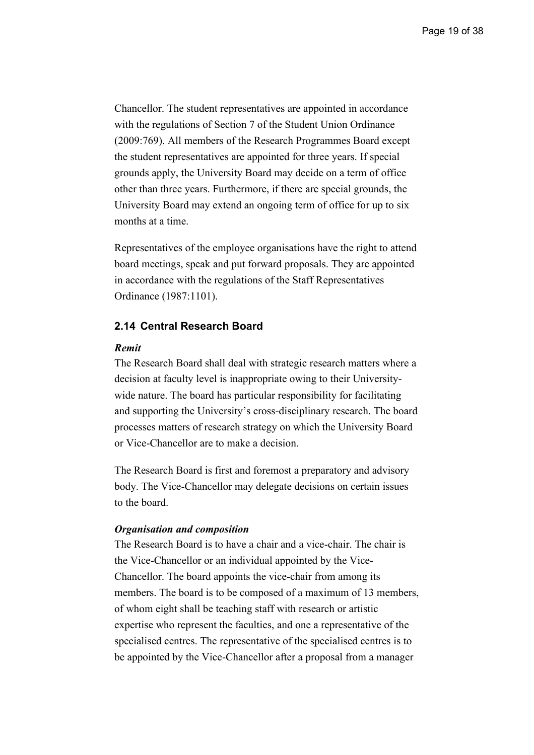Chancellor. The student representatives are appointed in accordance with the regulations of Section 7 of the Student Union Ordinance (2009:769). All members of the Research Programmes Board except the student representatives are appointed for three years. If special grounds apply, the University Board may decide on a term of office other than three years. Furthermore, if there are special grounds, the University Board may extend an ongoing term of office for up to six months at a time.

Representatives of the employee organisations have the right to attend board meetings, speak and put forward proposals. They are appointed in accordance with the regulations of the Staff Representatives Ordinance (1987:1101).

#### **2.14 Central Research Board**

#### *Remit*

The Research Board shall deal with strategic research matters where a decision at faculty level is inappropriate owing to their Universitywide nature. The board has particular responsibility for facilitating and supporting the University's cross-disciplinary research. The board processes matters of research strategy on which the University Board or Vice-Chancellor are to make a decision.

The Research Board is first and foremost a preparatory and advisory body. The Vice-Chancellor may delegate decisions on certain issues to the board.

#### *Organisation and composition*

The Research Board is to have a chair and a vice-chair. The chair is the Vice-Chancellor or an individual appointed by the Vice-Chancellor. The board appoints the vice-chair from among its members. The board is to be composed of a maximum of 13 members, of whom eight shall be teaching staff with research or artistic expertise who represent the faculties, and one a representative of the specialised centres. The representative of the specialised centres is to be appointed by the Vice-Chancellor after a proposal from a manager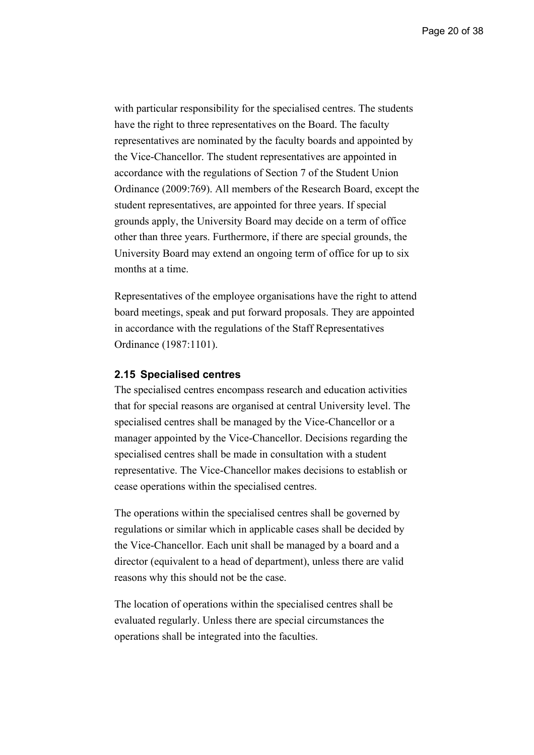with particular responsibility for the specialised centres. The students have the right to three representatives on the Board. The faculty representatives are nominated by the faculty boards and appointed by the Vice-Chancellor. The student representatives are appointed in accordance with the regulations of Section 7 of the Student Union Ordinance (2009:769). All members of the Research Board, except the student representatives, are appointed for three years. If special grounds apply, the University Board may decide on a term of office other than three years. Furthermore, if there are special grounds, the University Board may extend an ongoing term of office for up to six months at a time.

Representatives of the employee organisations have the right to attend board meetings, speak and put forward proposals. They are appointed in accordance with the regulations of the Staff Representatives Ordinance (1987:1101).

#### **2.15 Specialised centres**

The specialised centres encompass research and education activities that for special reasons are organised at central University level. The specialised centres shall be managed by the Vice-Chancellor or a manager appointed by the Vice-Chancellor. Decisions regarding the specialised centres shall be made in consultation with a student representative. The Vice-Chancellor makes decisions to establish or cease operations within the specialised centres.

The operations within the specialised centres shall be governed by regulations or similar which in applicable cases shall be decided by the Vice-Chancellor. Each unit shall be managed by a board and a director (equivalent to a head of department), unless there are valid reasons why this should not be the case.

The location of operations within the specialised centres shall be evaluated regularly. Unless there are special circumstances the operations shall be integrated into the faculties.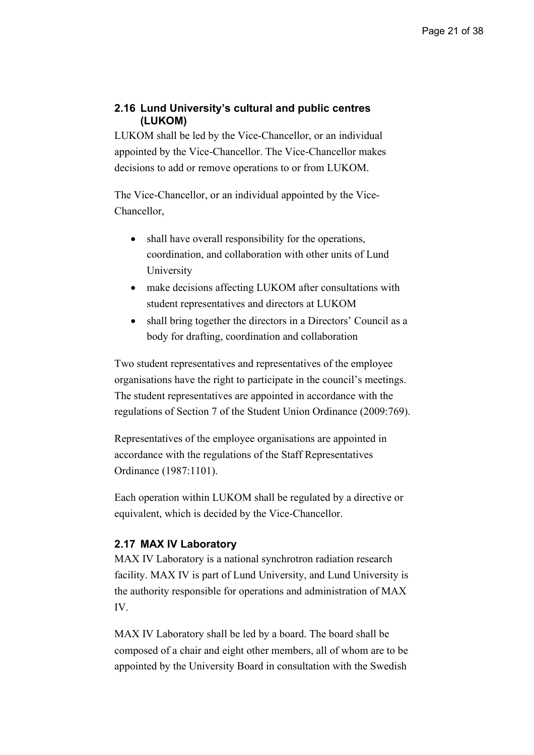## **2.16 Lund University's cultural and public centres (LUKOM)**

LUKOM shall be led by the Vice-Chancellor, or an individual appointed by the Vice-Chancellor. The Vice-Chancellor makes decisions to add or remove operations to or from LUKOM.

The Vice-Chancellor, or an individual appointed by the Vice-Chancellor,

- shall have overall responsibility for the operations, coordination, and collaboration with other units of Lund University
- make decisions affecting LUKOM after consultations with student representatives and directors at LUKOM
- shall bring together the directors in a Directors' Council as a body for drafting, coordination and collaboration

Two student representatives and representatives of the employee organisations have the right to participate in the council's meetings. The student representatives are appointed in accordance with the regulations of Section 7 of the Student Union Ordinance (2009:769).

Representatives of the employee organisations are appointed in accordance with the regulations of the Staff Representatives Ordinance (1987:1101).

Each operation within LUKOM shall be regulated by a directive or equivalent, which is decided by the Vice-Chancellor.

## **2.17 MAX IV Laboratory**

MAX IV Laboratory is a national synchrotron radiation research facility. MAX IV is part of Lund University, and Lund University is the authority responsible for operations and administration of MAX IV.

MAX IV Laboratory shall be led by a board. The board shall be composed of a chair and eight other members, all of whom are to be appointed by the University Board in consultation with the Swedish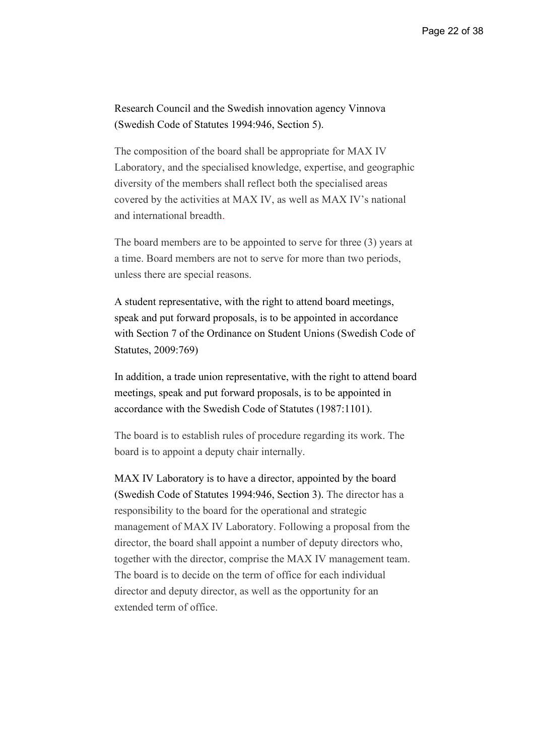Research Council and the Swedish innovation agency Vinnova (Swedish Code of Statutes 1994:946, Section 5).

The composition of the board shall be appropriate for MAX IV Laboratory, and the specialised knowledge, expertise, and geographic diversity of the members shall reflect both the specialised areas covered by the activities at MAX IV, as well as MAX IV's national and international breadth.

The board members are to be appointed to serve for three (3) years at a time. Board members are not to serve for more than two periods, unless there are special reasons.

A student representative, with the right to attend board meetings, speak and put forward proposals, is to be appointed in accordance with Section 7 of the Ordinance on Student Unions (Swedish Code of Statutes, 2009:769)

In addition, a trade union representative, with the right to attend board meetings, speak and put forward proposals, is to be appointed in accordance with the Swedish Code of Statutes (1987:1101).

The board is to establish rules of procedure regarding its work. The board is to appoint a deputy chair internally.

MAX IV Laboratory is to have a director, appointed by the board (Swedish Code of Statutes 1994:946, Section 3). The director has a responsibility to the board for the operational and strategic management of MAX IV Laboratory. Following a proposal from the director, the board shall appoint a number of deputy directors who, together with the director, comprise the MAX IV management team. The board is to decide on the term of office for each individual director and deputy director, as well as the opportunity for an extended term of office.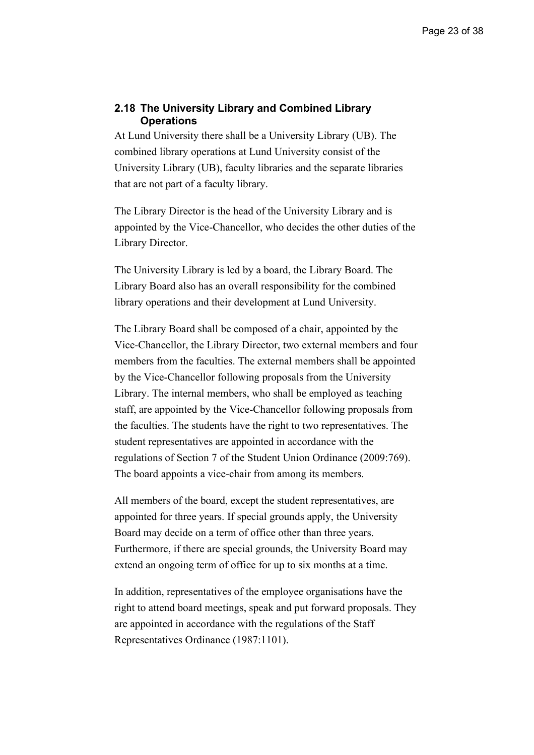#### **2.18 The University Library and Combined Library Operations**

At Lund University there shall be a University Library (UB). The combined library operations at Lund University consist of the University Library (UB), faculty libraries and the separate libraries that are not part of a faculty library.

The Library Director is the head of the University Library and is appointed by the Vice-Chancellor, who decides the other duties of the Library Director.

The University Library is led by a board, the Library Board. The Library Board also has an overall responsibility for the combined library operations and their development at Lund University.

The Library Board shall be composed of a chair, appointed by the Vice-Chancellor, the Library Director, two external members and four members from the faculties. The external members shall be appointed by the Vice-Chancellor following proposals from the University Library. The internal members, who shall be employed as teaching staff, are appointed by the Vice-Chancellor following proposals from the faculties. The students have the right to two representatives. The student representatives are appointed in accordance with the regulations of Section 7 of the Student Union Ordinance (2009:769). The board appoints a vice-chair from among its members.

All members of the board, except the student representatives, are appointed for three years. If special grounds apply, the University Board may decide on a term of office other than three years. Furthermore, if there are special grounds, the University Board may extend an ongoing term of office for up to six months at a time.

In addition, representatives of the employee organisations have the right to attend board meetings, speak and put forward proposals. They are appointed in accordance with the regulations of the Staff Representatives Ordinance (1987:1101).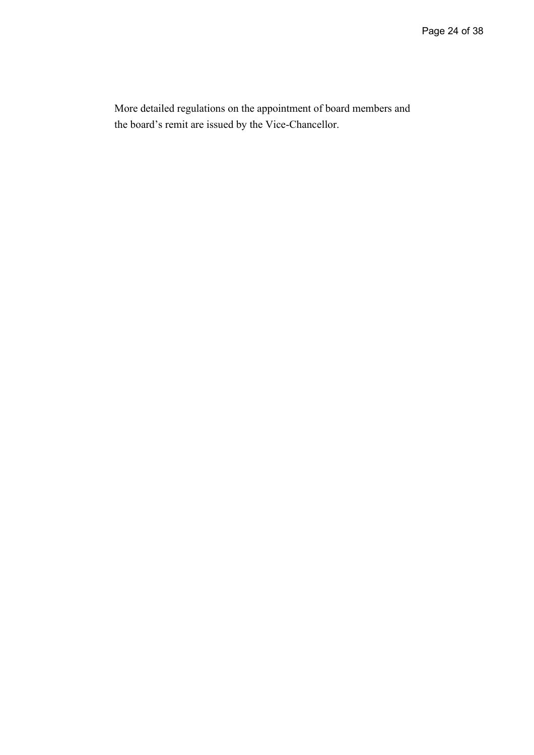More detailed regulations on the appointment of board members and the board's remit are issued by the Vice-Chancellor.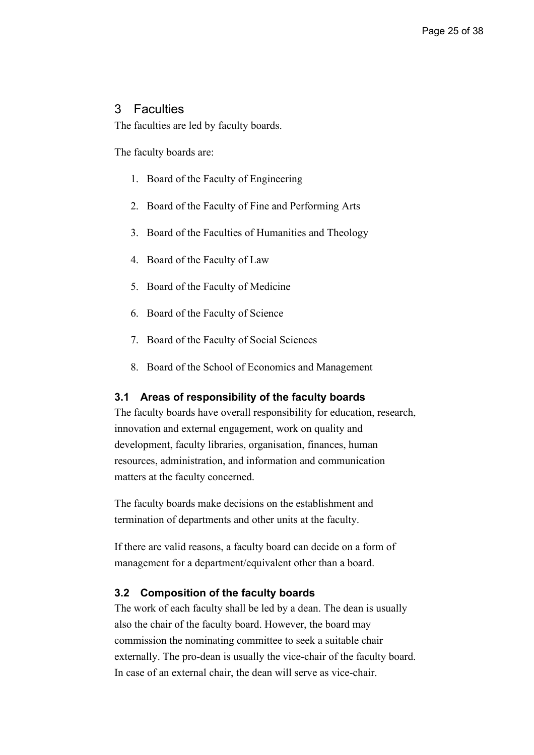## 3 Faculties

The faculties are led by faculty boards.

The faculty boards are:

- 1. Board of the Faculty of Engineering
- 2. Board of the Faculty of Fine and Performing Arts
- 3. Board of the Faculties of Humanities and Theology
- 4. Board of the Faculty of Law
- 5. Board of the Faculty of Medicine
- 6. Board of the Faculty of Science
- 7. Board of the Faculty of Social Sciences
- 8. Board of the School of Economics and Management

#### **3.1 Areas of responsibility of the faculty boards**

The faculty boards have overall responsibility for education, research, innovation and external engagement, work on quality and development, faculty libraries, organisation, finances, human resources, administration, and information and communication matters at the faculty concerned.

The faculty boards make decisions on the establishment and termination of departments and other units at the faculty.

If there are valid reasons, a faculty board can decide on a form of management for a department/equivalent other than a board.

#### **3.2 Composition of the faculty boards**

The work of each faculty shall be led by a dean. The dean is usually also the chair of the faculty board. However, the board may commission the nominating committee to seek a suitable chair externally. The pro-dean is usually the vice-chair of the faculty board. In case of an external chair, the dean will serve as vice-chair.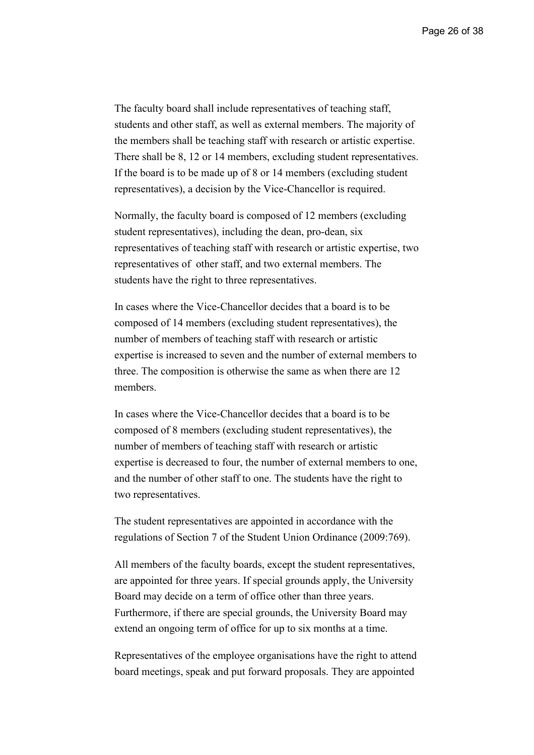The faculty board shall include representatives of teaching staff, students and other staff, as well as external members. The majority of the members shall be teaching staff with research or artistic expertise. There shall be 8, 12 or 14 members, excluding student representatives. If the board is to be made up of 8 or 14 members (excluding student representatives), a decision by the Vice-Chancellor is required.

Normally, the faculty board is composed of 12 members (excluding student representatives), including the dean, pro-dean, six representatives of teaching staff with research or artistic expertise, two representatives of other staff, and two external members. The students have the right to three representatives.

In cases where the Vice-Chancellor decides that a board is to be composed of 14 members (excluding student representatives), the number of members of teaching staff with research or artistic expertise is increased to seven and the number of external members to three. The composition is otherwise the same as when there are 12 members.

In cases where the Vice-Chancellor decides that a board is to be composed of 8 members (excluding student representatives), the number of members of teaching staff with research or artistic expertise is decreased to four, the number of external members to one, and the number of other staff to one. The students have the right to two representatives.

The student representatives are appointed in accordance with the regulations of Section 7 of the Student Union Ordinance (2009:769).

All members of the faculty boards, except the student representatives, are appointed for three years. If special grounds apply, the University Board may decide on a term of office other than three years. Furthermore, if there are special grounds, the University Board may extend an ongoing term of office for up to six months at a time.

Representatives of the employee organisations have the right to attend board meetings, speak and put forward proposals. They are appointed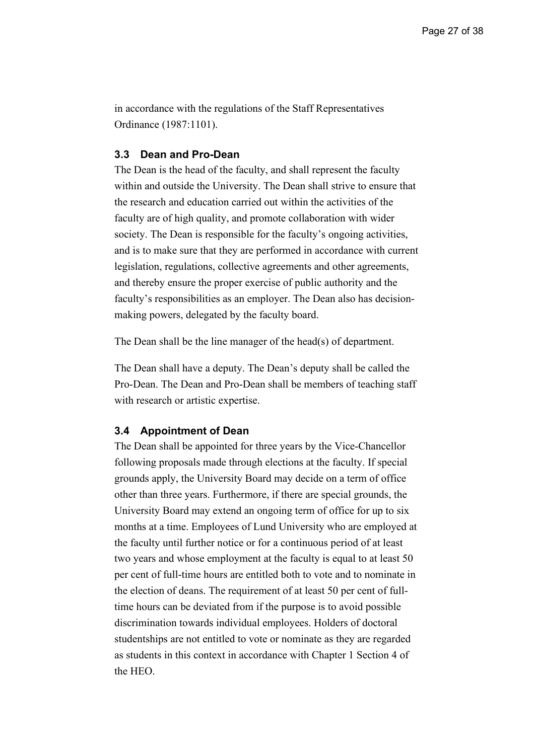in accordance with the regulations of the Staff Representatives Ordinance (1987:1101).

## **3.3 Dean and Pro-Dean**

The Dean is the head of the faculty, and shall represent the faculty within and outside the University. The Dean shall strive to ensure that the research and education carried out within the activities of the faculty are of high quality, and promote collaboration with wider society. The Dean is responsible for the faculty's ongoing activities, and is to make sure that they are performed in accordance with current legislation, regulations, collective agreements and other agreements, and thereby ensure the proper exercise of public authority and the faculty's responsibilities as an employer. The Dean also has decisionmaking powers, delegated by the faculty board.

The Dean shall be the line manager of the head(s) of department.

The Dean shall have a deputy. The Dean's deputy shall be called the Pro-Dean. The Dean and Pro-Dean shall be members of teaching staff with research or artistic expertise.

#### **3.4 Appointment of Dean**

The Dean shall be appointed for three years by the Vice-Chancellor following proposals made through elections at the faculty. If special grounds apply, the University Board may decide on a term of office other than three years. Furthermore, if there are special grounds, the University Board may extend an ongoing term of office for up to six months at a time. Employees of Lund University who are employed at the faculty until further notice or for a continuous period of at least two years and whose employment at the faculty is equal to at least 50 per cent of full-time hours are entitled both to vote and to nominate in the election of deans. The requirement of at least 50 per cent of fulltime hours can be deviated from if the purpose is to avoid possible discrimination towards individual employees. Holders of doctoral studentships are not entitled to vote or nominate as they are regarded as students in this context in accordance with Chapter 1 Section 4 of the HEO.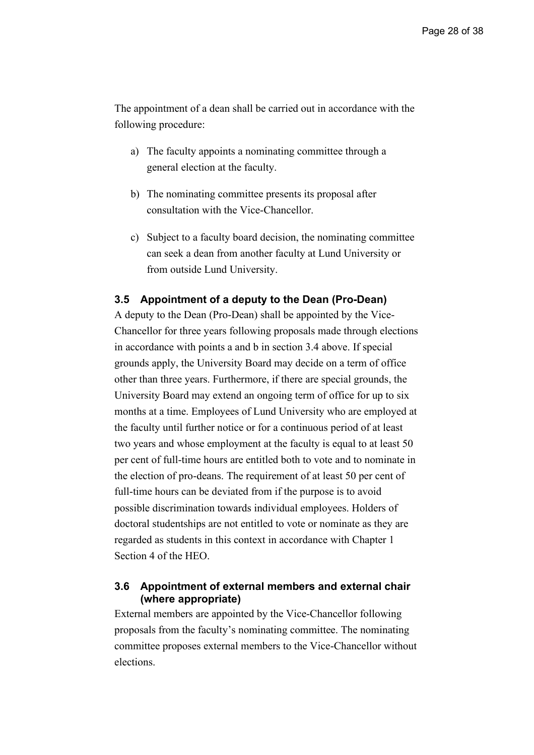The appointment of a dean shall be carried out in accordance with the following procedure:

- a) The faculty appoints a nominating committee through a general election at the faculty.
- b) The nominating committee presents its proposal after consultation with the Vice-Chancellor.
- c) Subject to a faculty board decision, the nominating committee can seek a dean from another faculty at Lund University or from outside Lund University.

#### **3.5 Appointment of a deputy to the Dean (Pro-Dean)**

A deputy to the Dean (Pro-Dean) shall be appointed by the Vice-Chancellor for three years following proposals made through elections in accordance with points a and b in section 3.4 above. If special grounds apply, the University Board may decide on a term of office other than three years. Furthermore, if there are special grounds, the University Board may extend an ongoing term of office for up to six months at a time. Employees of Lund University who are employed at the faculty until further notice or for a continuous period of at least two years and whose employment at the faculty is equal to at least 50 per cent of full-time hours are entitled both to vote and to nominate in the election of pro-deans. The requirement of at least 50 per cent of full-time hours can be deviated from if the purpose is to avoid possible discrimination towards individual employees. Holders of doctoral studentships are not entitled to vote or nominate as they are regarded as students in this context in accordance with Chapter 1 Section 4 of the HEO.

## **3.6 Appointment of external members and external chair (where appropriate)**

External members are appointed by the Vice-Chancellor following proposals from the faculty's nominating committee. The nominating committee proposes external members to the Vice-Chancellor without elections.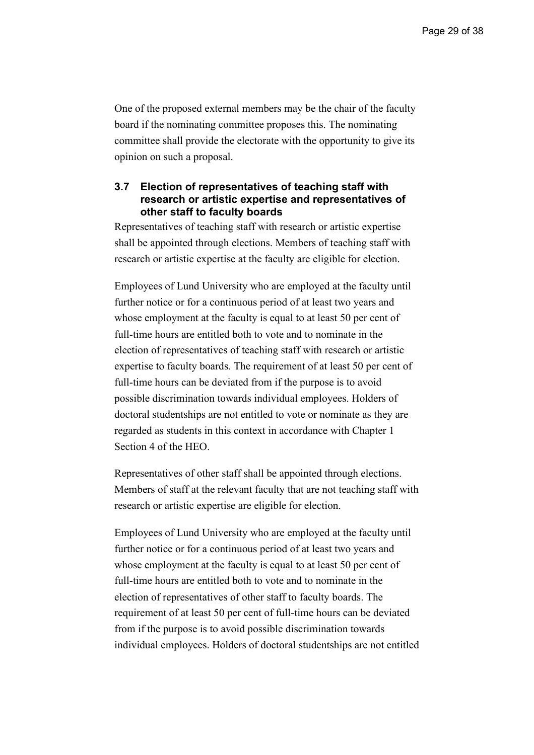One of the proposed external members may be the chair of the faculty board if the nominating committee proposes this. The nominating committee shall provide the electorate with the opportunity to give its opinion on such a proposal.

## **3.7 Election of representatives of teaching staff with research or artistic expertise and representatives of other staff to faculty boards**

Representatives of teaching staff with research or artistic expertise shall be appointed through elections. Members of teaching staff with research or artistic expertise at the faculty are eligible for election.

Employees of Lund University who are employed at the faculty until further notice or for a continuous period of at least two years and whose employment at the faculty is equal to at least 50 per cent of full-time hours are entitled both to vote and to nominate in the election of representatives of teaching staff with research or artistic expertise to faculty boards. The requirement of at least 50 per cent of full-time hours can be deviated from if the purpose is to avoid possible discrimination towards individual employees. Holders of doctoral studentships are not entitled to vote or nominate as they are regarded as students in this context in accordance with Chapter 1 Section 4 of the HEO.

Representatives of other staff shall be appointed through elections. Members of staff at the relevant faculty that are not teaching staff with research or artistic expertise are eligible for election.

Employees of Lund University who are employed at the faculty until further notice or for a continuous period of at least two years and whose employment at the faculty is equal to at least 50 per cent of full-time hours are entitled both to vote and to nominate in the election of representatives of other staff to faculty boards. The requirement of at least 50 per cent of full-time hours can be deviated from if the purpose is to avoid possible discrimination towards individual employees. Holders of doctoral studentships are not entitled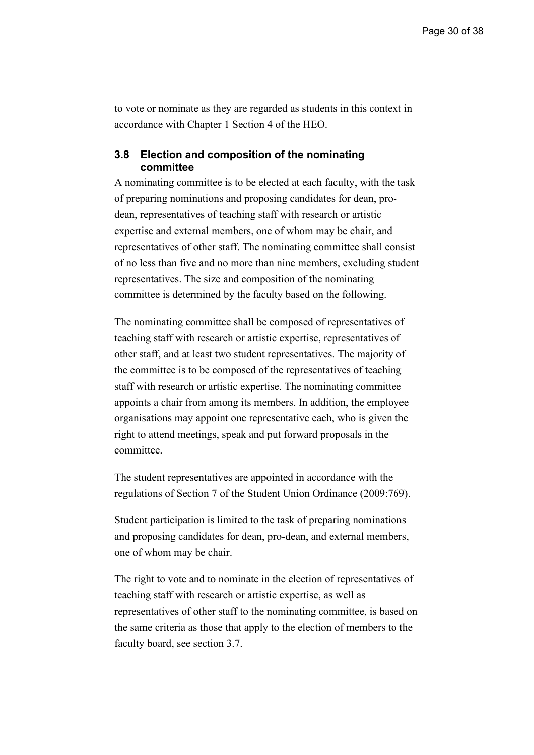to vote or nominate as they are regarded as students in this context in accordance with Chapter 1 Section 4 of the HEO.

#### **3.8 Election and composition of the nominating committee**

A nominating committee is to be elected at each faculty, with the task of preparing nominations and proposing candidates for dean, prodean, representatives of teaching staff with research or artistic expertise and external members, one of whom may be chair, and representatives of other staff. The nominating committee shall consist of no less than five and no more than nine members, excluding student representatives. The size and composition of the nominating committee is determined by the faculty based on the following.

The nominating committee shall be composed of representatives of teaching staff with research or artistic expertise, representatives of other staff, and at least two student representatives. The majority of the committee is to be composed of the representatives of teaching staff with research or artistic expertise. The nominating committee appoints a chair from among its members. In addition, the employee organisations may appoint one representative each, who is given the right to attend meetings, speak and put forward proposals in the committee.

The student representatives are appointed in accordance with the regulations of Section 7 of the Student Union Ordinance (2009:769).

Student participation is limited to the task of preparing nominations and proposing candidates for dean, pro-dean, and external members, one of whom may be chair.

The right to vote and to nominate in the election of representatives of teaching staff with research or artistic expertise, as well as representatives of other staff to the nominating committee, is based on the same criteria as those that apply to the election of members to the faculty board, see section 3.7.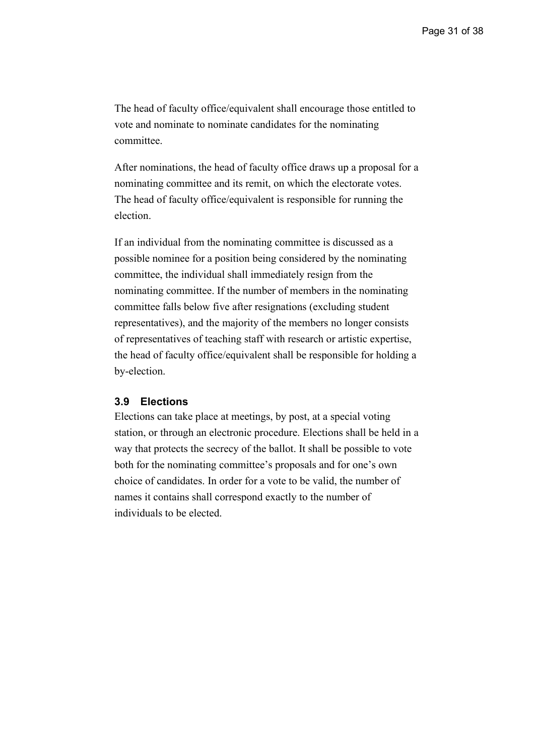The head of faculty office/equivalent shall encourage those entitled to vote and nominate to nominate candidates for the nominating committee.

After nominations, the head of faculty office draws up a proposal for a nominating committee and its remit, on which the electorate votes. The head of faculty office/equivalent is responsible for running the election.

If an individual from the nominating committee is discussed as a possible nominee for a position being considered by the nominating committee, the individual shall immediately resign from the nominating committee. If the number of members in the nominating committee falls below five after resignations (excluding student representatives), and the majority of the members no longer consists of representatives of teaching staff with research or artistic expertise, the head of faculty office/equivalent shall be responsible for holding a by-election.

#### **3.9 Elections**

Elections can take place at meetings, by post, at a special voting station, or through an electronic procedure. Elections shall be held in a way that protects the secrecy of the ballot. It shall be possible to vote both for the nominating committee's proposals and for one's own choice of candidates. In order for a vote to be valid, the number of names it contains shall correspond exactly to the number of individuals to be elected.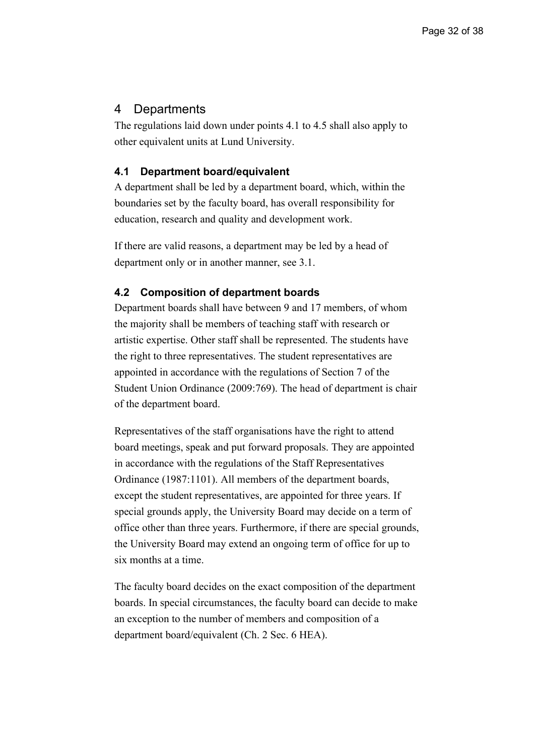## 4 Departments

The regulations laid down under points 4.1 to 4.5 shall also apply to other equivalent units at Lund University.

#### **4.1 Department board/equivalent**

A department shall be led by a department board, which, within the boundaries set by the faculty board, has overall responsibility for education, research and quality and development work.

If there are valid reasons, a department may be led by a head of department only or in another manner, see 3.1.

#### **4.2 Composition of department boards**

Department boards shall have between 9 and 17 members, of whom the majority shall be members of teaching staff with research or artistic expertise. Other staff shall be represented. The students have the right to three representatives. The student representatives are appointed in accordance with the regulations of Section 7 of the Student Union Ordinance (2009:769). The head of department is chair of the department board.

Representatives of the staff organisations have the right to attend board meetings, speak and put forward proposals. They are appointed in accordance with the regulations of the Staff Representatives Ordinance (1987:1101). All members of the department boards, except the student representatives, are appointed for three years. If special grounds apply, the University Board may decide on a term of office other than three years. Furthermore, if there are special grounds, the University Board may extend an ongoing term of office for up to six months at a time.

The faculty board decides on the exact composition of the department boards. In special circumstances, the faculty board can decide to make an exception to the number of members and composition of a department board/equivalent (Ch. 2 Sec. 6 HEA).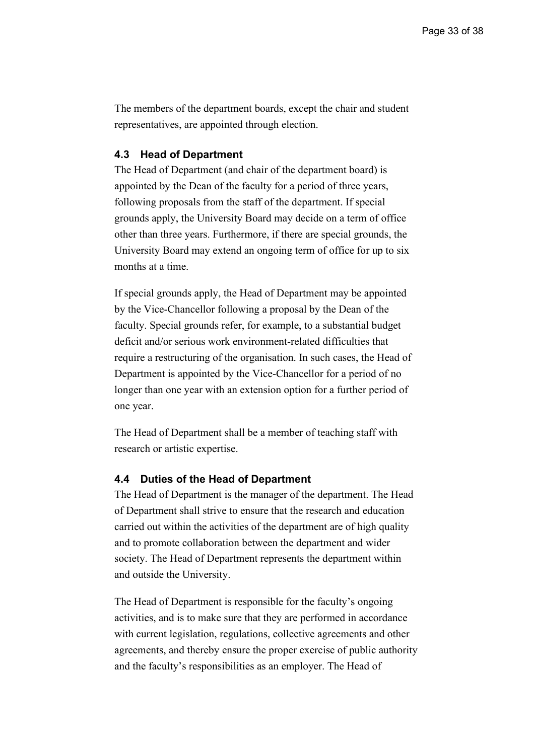The members of the department boards, except the chair and student representatives, are appointed through election.

#### **4.3 Head of Department**

The Head of Department (and chair of the department board) is appointed by the Dean of the faculty for a period of three years, following proposals from the staff of the department. If special grounds apply, the University Board may decide on a term of office other than three years. Furthermore, if there are special grounds, the University Board may extend an ongoing term of office for up to six months at a time.

If special grounds apply, the Head of Department may be appointed by the Vice-Chancellor following a proposal by the Dean of the faculty. Special grounds refer, for example, to a substantial budget deficit and/or serious work environment-related difficulties that require a restructuring of the organisation. In such cases, the Head of Department is appointed by the Vice-Chancellor for a period of no longer than one year with an extension option for a further period of one year.

The Head of Department shall be a member of teaching staff with research or artistic expertise.

#### **4.4 Duties of the Head of Department**

The Head of Department is the manager of the department. The Head of Department shall strive to ensure that the research and education carried out within the activities of the department are of high quality and to promote collaboration between the department and wider society. The Head of Department represents the department within and outside the University.

The Head of Department is responsible for the faculty's ongoing activities, and is to make sure that they are performed in accordance with current legislation, regulations, collective agreements and other agreements, and thereby ensure the proper exercise of public authority and the faculty's responsibilities as an employer. The Head of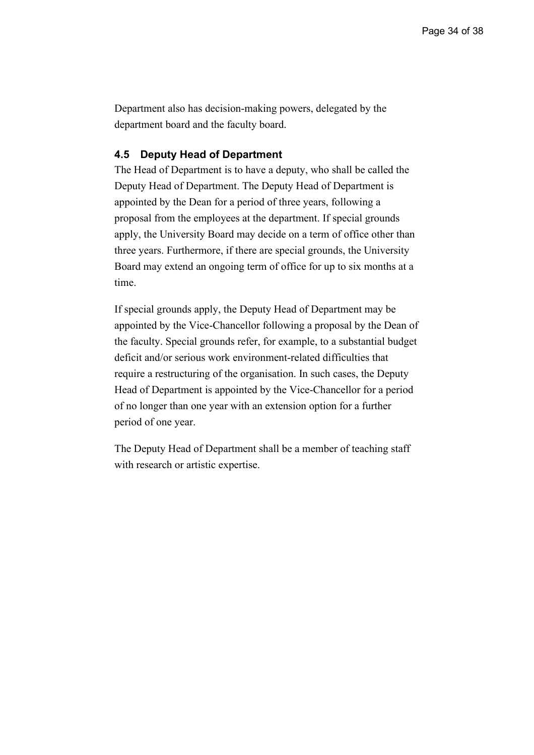Department also has decision-making powers, delegated by the department board and the faculty board.

#### **4.5 Deputy Head of Department**

The Head of Department is to have a deputy, who shall be called the Deputy Head of Department. The Deputy Head of Department is appointed by the Dean for a period of three years, following a proposal from the employees at the department. If special grounds apply, the University Board may decide on a term of office other than three years. Furthermore, if there are special grounds, the University Board may extend an ongoing term of office for up to six months at a time.

If special grounds apply, the Deputy Head of Department may be appointed by the Vice-Chancellor following a proposal by the Dean of the faculty. Special grounds refer, for example, to a substantial budget deficit and/or serious work environment-related difficulties that require a restructuring of the organisation. In such cases, the Deputy Head of Department is appointed by the Vice-Chancellor for a period of no longer than one year with an extension option for a further period of one year.

The Deputy Head of Department shall be a member of teaching staff with research or artistic expertise.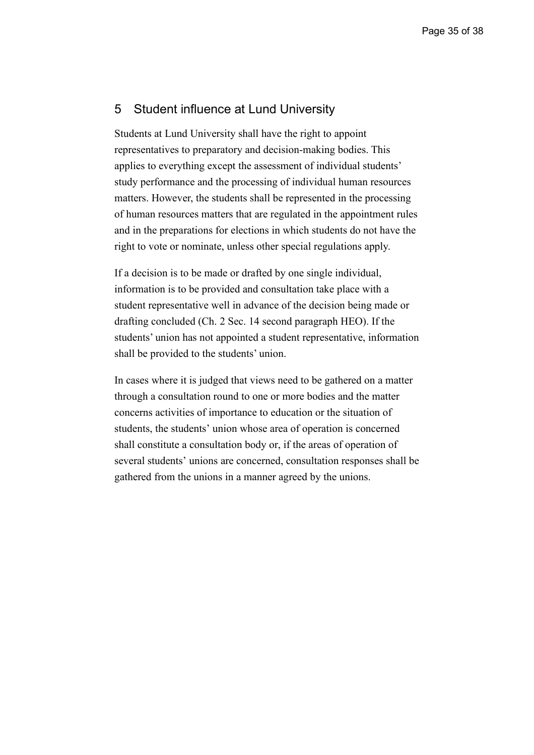## 5 Student influence at Lund University

Students at Lund University shall have the right to appoint representatives to preparatory and decision-making bodies. This applies to everything except the assessment of individual students' study performance and the processing of individual human resources matters. However, the students shall be represented in the processing of human resources matters that are regulated in the appointment rules and in the preparations for elections in which students do not have the right to vote or nominate, unless other special regulations apply.

If a decision is to be made or drafted by one single individual, information is to be provided and consultation take place with a student representative well in advance of the decision being made or drafting concluded (Ch. 2 Sec. 14 second paragraph HEO). If the students' union has not appointed a student representative, information shall be provided to the students' union.

In cases where it is judged that views need to be gathered on a matter through a consultation round to one or more bodies and the matter concerns activities of importance to education or the situation of students, the students' union whose area of operation is concerned shall constitute a consultation body or, if the areas of operation of several students' unions are concerned, consultation responses shall be gathered from the unions in a manner agreed by the unions.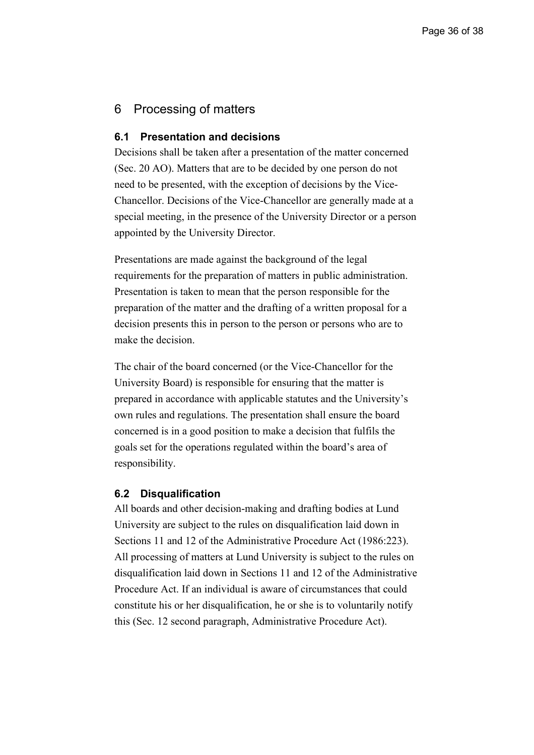## 6 Processing of matters

#### **6.1 Presentation and decisions**

Decisions shall be taken after a presentation of the matter concerned (Sec. 20 AO). Matters that are to be decided by one person do not need to be presented, with the exception of decisions by the Vice-Chancellor. Decisions of the Vice-Chancellor are generally made at a special meeting, in the presence of the University Director or a person appointed by the University Director.

Presentations are made against the background of the legal requirements for the preparation of matters in public administration. Presentation is taken to mean that the person responsible for the preparation of the matter and the drafting of a written proposal for a decision presents this in person to the person or persons who are to make the decision.

The chair of the board concerned (or the Vice-Chancellor for the University Board) is responsible for ensuring that the matter is prepared in accordance with applicable statutes and the University's own rules and regulations. The presentation shall ensure the board concerned is in a good position to make a decision that fulfils the goals set for the operations regulated within the board's area of responsibility.

#### **6.2 Disqualification**

All boards and other decision-making and drafting bodies at Lund University are subject to the rules on disqualification laid down in Sections 11 and 12 of the Administrative Procedure Act (1986:223). All processing of matters at Lund University is subject to the rules on disqualification laid down in Sections 11 and 12 of the Administrative Procedure Act. If an individual is aware of circumstances that could constitute his or her disqualification, he or she is to voluntarily notify this (Sec. 12 second paragraph, Administrative Procedure Act).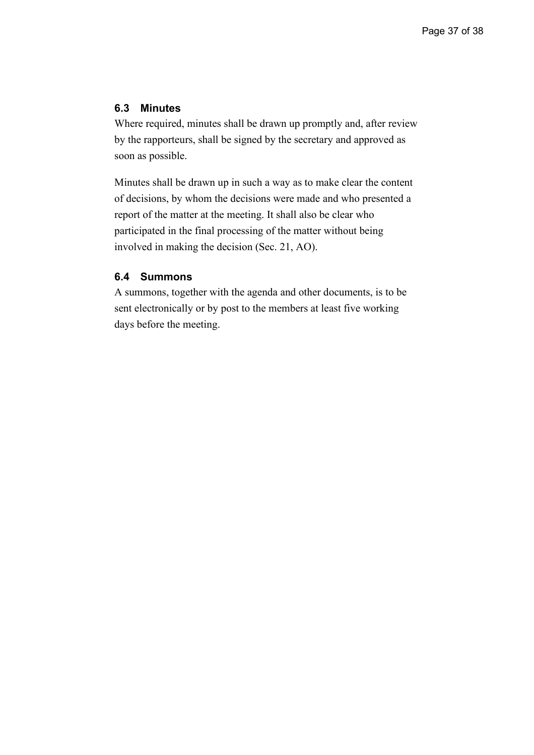### **6.3 Minutes**

Where required, minutes shall be drawn up promptly and, after review by the rapporteurs, shall be signed by the secretary and approved as soon as possible.

Minutes shall be drawn up in such a way as to make clear the content of decisions, by whom the decisions were made and who presented a report of the matter at the meeting. It shall also be clear who participated in the final processing of the matter without being involved in making the decision (Sec. 21, AO).

### **6.4 Summons**

A summons, together with the agenda and other documents, is to be sent electronically or by post to the members at least five working days before the meeting.